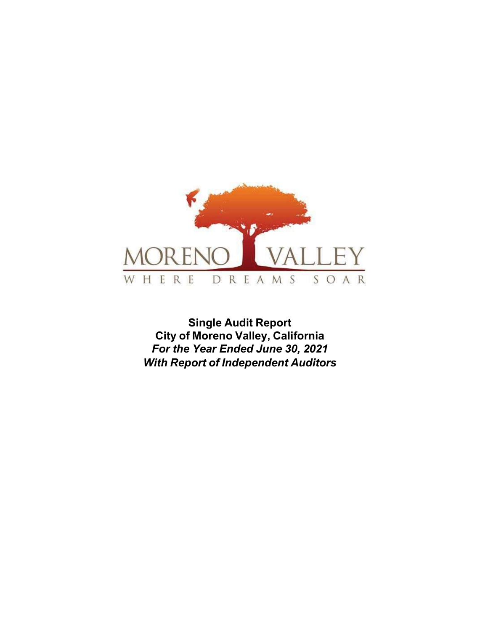

Single Audit Report City of Moreno Valley, California For the Year Ended June 30, 2021 With Report of Independent Auditors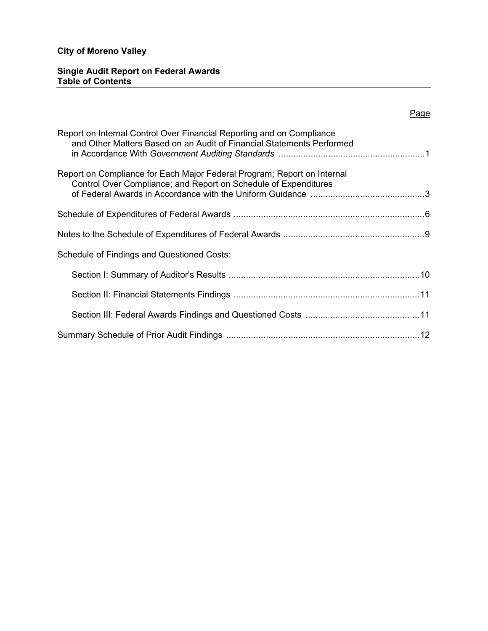## Single Audit Report on Federal Awards Table of Contents

# Page

| Report on Internal Control Over Financial Reporting and on Compliance<br>and Other Matters Based on an Audit of Financial Statements Performed |
|------------------------------------------------------------------------------------------------------------------------------------------------|
| Report on Compliance for Each Major Federal Program; Report on Internal<br>Control Over Compliance; and Report on Schedule of Expenditures     |
|                                                                                                                                                |
|                                                                                                                                                |
| <b>Schedule of Findings and Questioned Costs:</b>                                                                                              |
|                                                                                                                                                |
|                                                                                                                                                |
|                                                                                                                                                |
|                                                                                                                                                |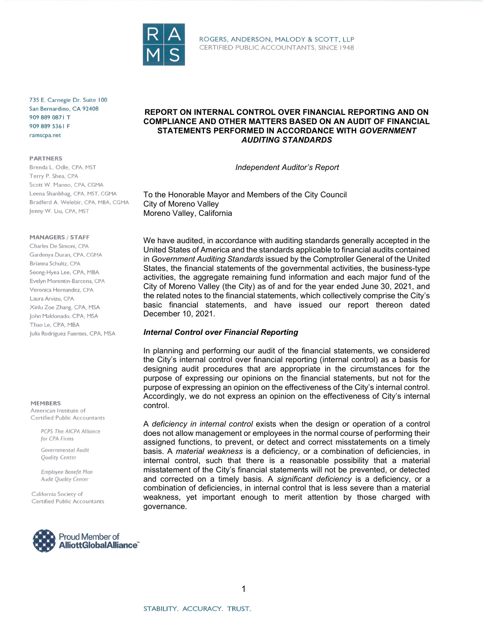

735 E. Carnegie Dr. Suite 100 San Bernardino, CA 92408 909 889 0871 T 909 889 5361 F ramscpa.net

**PARTNERS** 

Brenda L. Odle, CPA, MST Terry P. Shea, CPA Scott W. Manno, CPA, CGMA Leena Shanbhag, CPA, MST, CGMA Bradferd A. Welebir, CPA, MBA, CGMA Jenny W. Liu, CPA, MST

#### **MANAGERS / STAFF**

Charles De Simoni, CPA Gardenya Duran, CPA, CGMA Brianna Schultz, CPA Seong-Hyea Lee, CPA, MBA Evelyn Morentin-Barcena, CPA Veronica Hernandez, CPA Laura Arvizu, CPA Xinlu Zoe Zhang, CPA, MSA John Maldonado, CPA, MSA Thao Le, CPA, MBA Julia Rodriguez Fuentes, CPA, MSA

#### **MEMRERS**

American Institute of Certified Public Accountants

> PCPS The AICPA Alliance for CPA Firms

Governmental Audit **Ouglity Center** 

Employee Benefit Plan Audit Quality Center

California Society of Certified Public Accountants



### REPORT ON INTERNAL CONTROL OVER FINANCIAL REPORTING AND ON COMPLIANCE AND OTHER MATTERS BASED ON AN AUDIT OF FINANCIAL STATEMENTS PERFORMED IN ACCORDANCE WITH GOVERNMENT AUDITING STANDARDS

Independent Auditor's Report

To the Honorable Mayor and Members of the City Council City of Moreno Valley Moreno Valley, California

We have audited, in accordance with auditing standards generally accepted in the United States of America and the standards applicable to financial audits contained in Government Auditing Standards issued by the Comptroller General of the United States, the financial statements of the governmental activities, the business-type activities, the aggregate remaining fund information and each major fund of the City of Moreno Valley (the City) as of and for the year ended June 30, 2021, and the related notes to the financial statements, which collectively comprise the City's basic financial statements, and have issued our report thereon dated December 10, 2021.

#### Internal Control over Financial Reporting

In planning and performing our audit of the financial statements, we considered the City's internal control over financial reporting (internal control) as a basis for designing audit procedures that are appropriate in the circumstances for the purpose of expressing our opinions on the financial statements, but not for the purpose of expressing an opinion on the effectiveness of the City's internal control. Accordingly, we do not express an opinion on the effectiveness of City's internal control.

A deficiency in internal control exists when the design or operation of a control does not allow management or employees in the normal course of performing their assigned functions, to prevent, or detect and correct misstatements on a timely basis. A material weakness is a deficiency, or a combination of deficiencies, in internal control, such that there is a reasonable possibility that a material misstatement of the City's financial statements will not be prevented, or detected and corrected on a timely basis. A *significant deficiency* is a deficiency, or a combination of deficiencies, in internal control that is less severe than a material weakness, yet important enough to merit attention by those charged with governance.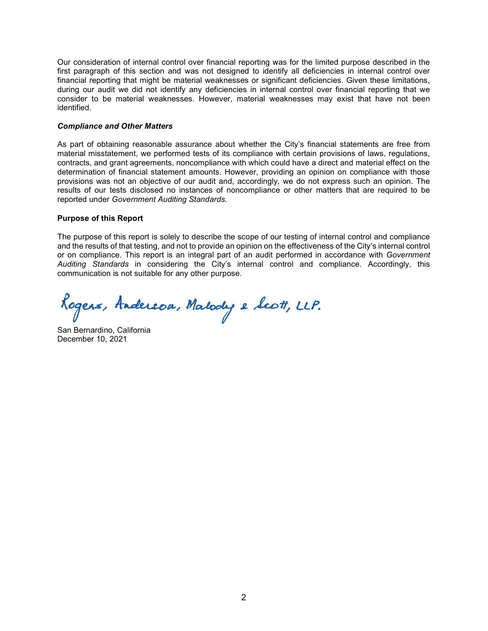Our consideration of internal control over financial reporting was for the limited purpose described in the first paragraph of this section and was not designed to identify all deficiencies in internal control over financial reporting that might be material weaknesses or significant deficiencies. Given these limitations, during our audit we did not identify any deficiencies in internal control over financial reporting that we consider to be material weaknesses. However, material weaknesses may exist that have not been identified.

#### Compliance and Other Matters

As part of obtaining reasonable assurance about whether the City's financial statements are free from material misstatement, we performed tests of its compliance with certain provisions of laws, regulations, contracts, and grant agreements, noncompliance with which could have a direct and material effect on the determination of financial statement amounts. However, providing an opinion on compliance with those provisions was not an objective of our audit and, accordingly, we do not express such an opinion. The results of our tests disclosed no instances of noncompliance or other matters that are required to be reported under Government Auditing Standards.

#### Purpose of this Report

The purpose of this report is solely to describe the scope of our testing of internal control and compliance and the results of that testing, and not to provide an opinion on the effectiveness of the City's internal control or on compliance. This report is an integral part of an audit performed in accordance with Government Auditing Standards in considering the City's internal control and compliance. Accordingly, this communication is not suitable for any other purpose.

Rogers, Andereou, Malody e Scott, LLP.

San Bernardino, California December 10, 2021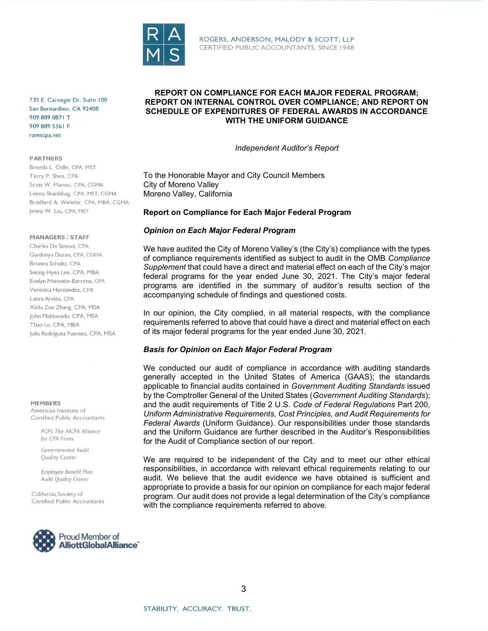

ROGERS, ANDERSON, MALODY & SCOTT, LLP CERTIFIED PUBLIC ACCOUNTANTS, SINCE 1948

735 E. Carnegie Dr. Suite 100 San Bernardino, CA 92408 909 889 0871 T 909 889 5361 F ramscpa.net

#### **PARTNERS**

Brenda L. Odle, CPA, MST Terry P. Shea, CPA Scott W. Manno, CPA, CGMA Leena Shanbhag, CPA, MST, CGMA Bradferd A. Welebir, CPA, MBA, CGMA Jenny W. Liu, CPA, MST

#### **MANAGERS / STAFF**

Charles De Simoni, CPA Gardenya Duran, CPA, CGMA Brianna Schultz, CPA Seong-Hyea Lee, CPA, MBA Evelyn Morentin-Barcena, CPA Veronica Hernandez, CPA Laura Arvizu, CPA Xinlu Zoe Zhang, CPA, MSA John Maldonado, CPA, MSA Thao Le, CPA, MBA Julia Rodriguez Fuentes, CPA, MSA

#### **MEMRERS**

American Institute of Certified Public Accountants

> PCPS The AICPA Alliance for CPA Firms

Governmental Audit **Ouglity Center** 

Employee Benefit Plan Audit Quality Center

California Society of Certified Public Accountants



#### REPORT ON COMPLIANCE FOR EACH MAJOR FEDERAL PROGRAM; REPORT ON INTERNAL CONTROL OVER COMPLIANCE; AND REPORT ON SCHEDULE OF EXPENDITURES OF FEDERAL AWARDS IN ACCORDANCE WITH THE UNIFORM GUIDANCE

Independent Auditor's Report

To the Honorable Mayor and City Council Members City of Moreno Valley Moreno Valley, California

#### Report on Compliance for Each Major Federal Program

#### Opinion on Each Major Federal Program

We have audited the City of Moreno Valley's (the City's) compliance with the types of compliance requirements identified as subject to audit in the OMB Compliance Supplement that could have a direct and material effect on each of the City's major federal programs for the year ended June 30, 2021. The City's major federal programs are identified in the summary of auditor's results section of the accompanying schedule of findings and questioned costs.

In our opinion, the City complied, in all material respects, with the compliance requirements referred to above that could have a direct and material effect on each of its major federal programs for the year ended June 30, 2021.

#### Basis for Opinion on Each Major Federal Program

We conducted our audit of compliance in accordance with auditing standards generally accepted in the United States of America (GAAS); the standards applicable to financial audits contained in Government Auditing Standards issued by the Comptroller General of the United States (Government Auditing Standards); and the audit requirements of Title 2 U.S. Code of Federal Regulations Part 200, Uniform Administrative Requirements, Cost Principles, and Audit Requirements for Federal Awards (Uniform Guidance). Our responsibilities under those standards and the Uniform Guidance are further described in the Auditor's Responsibilities for the Audit of Compliance section of our report.

We are required to be independent of the City and to meet our other ethical responsibilities, in accordance with relevant ethical requirements relating to our audit. We believe that the audit evidence we have obtained is sufficient and appropriate to provide a basis for our opinion on compliance for each major federal program. Our audit does not provide a legal determination of the City's compliance with the compliance requirements referred to above.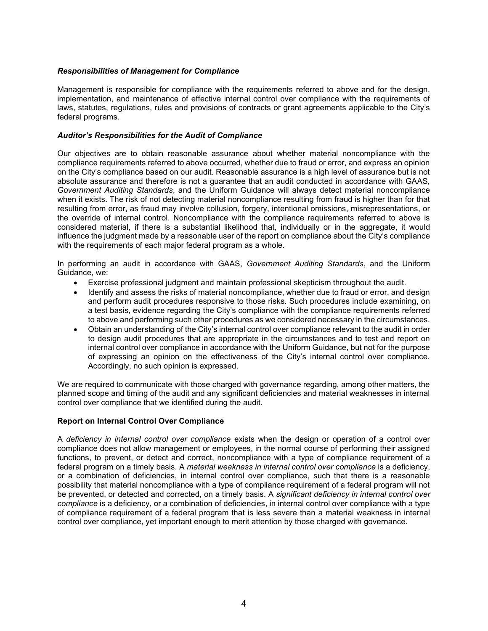#### Responsibilities of Management for Compliance

Management is responsible for compliance with the requirements referred to above and for the design, implementation, and maintenance of effective internal control over compliance with the requirements of laws, statutes, regulations, rules and provisions of contracts or grant agreements applicable to the City's federal programs.

### Auditor's Responsibilities for the Audit of Compliance

Our objectives are to obtain reasonable assurance about whether material noncompliance with the compliance requirements referred to above occurred, whether due to fraud or error, and express an opinion on the City's compliance based on our audit. Reasonable assurance is a high level of assurance but is not absolute assurance and therefore is not a guarantee that an audit conducted in accordance with GAAS, Government Auditing Standards, and the Uniform Guidance will always detect material noncompliance when it exists. The risk of not detecting material noncompliance resulting from fraud is higher than for that resulting from error, as fraud may involve collusion, forgery, intentional omissions, misrepresentations, or the override of internal control. Noncompliance with the compliance requirements referred to above is considered material, if there is a substantial likelihood that, individually or in the aggregate, it would influence the judgment made by a reasonable user of the report on compliance about the City's compliance with the requirements of each major federal program as a whole.

In performing an audit in accordance with GAAS, Government Auditing Standards, and the Uniform Guidance, we:

- Exercise professional judgment and maintain professional skepticism throughout the audit.
- Identify and assess the risks of material noncompliance, whether due to fraud or error, and design and perform audit procedures responsive to those risks. Such procedures include examining, on a test basis, evidence regarding the City's compliance with the compliance requirements referred to above and performing such other procedures as we considered necessary in the circumstances.
- Obtain an understanding of the City's internal control over compliance relevant to the audit in order to design audit procedures that are appropriate in the circumstances and to test and report on internal control over compliance in accordance with the Uniform Guidance, but not for the purpose of expressing an opinion on the effectiveness of the City's internal control over compliance. Accordingly, no such opinion is expressed.

We are required to communicate with those charged with governance regarding, among other matters, the planned scope and timing of the audit and any significant deficiencies and material weaknesses in internal control over compliance that we identified during the audit.

### Report on Internal Control Over Compliance

A deficiency in internal control over compliance exists when the design or operation of a control over compliance does not allow management or employees, in the normal course of performing their assigned functions, to prevent, or detect and correct, noncompliance with a type of compliance requirement of a federal program on a timely basis. A material weakness in internal control over compliance is a deficiency, or a combination of deficiencies, in internal control over compliance, such that there is a reasonable possibility that material noncompliance with a type of compliance requirement of a federal program will not be prevented, or detected and corrected, on a timely basis. A significant deficiency in internal control over compliance is a deficiency, or a combination of deficiencies, in internal control over compliance with a type of compliance requirement of a federal program that is less severe than a material weakness in internal control over compliance, yet important enough to merit attention by those charged with governance.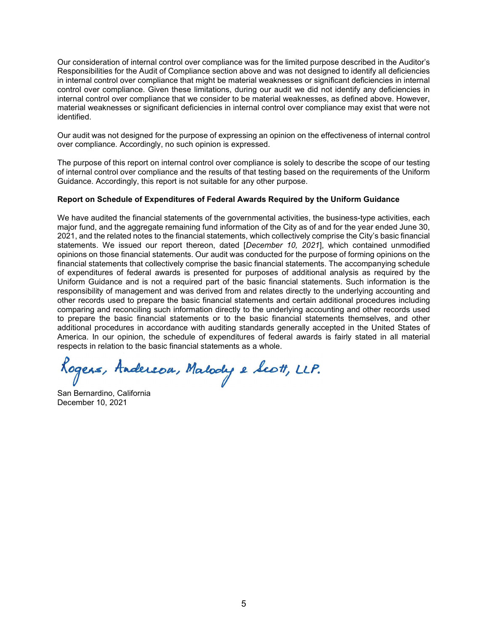Our consideration of internal control over compliance was for the limited purpose described in the Auditor's Responsibilities for the Audit of Compliance section above and was not designed to identify all deficiencies in internal control over compliance that might be material weaknesses or significant deficiencies in internal control over compliance. Given these limitations, during our audit we did not identify any deficiencies in internal control over compliance that we consider to be material weaknesses, as defined above. However, material weaknesses or significant deficiencies in internal control over compliance may exist that were not identified.

Our audit was not designed for the purpose of expressing an opinion on the effectiveness of internal control over compliance. Accordingly, no such opinion is expressed.

The purpose of this report on internal control over compliance is solely to describe the scope of our testing of internal control over compliance and the results of that testing based on the requirements of the Uniform Guidance. Accordingly, this report is not suitable for any other purpose.

#### Report on Schedule of Expenditures of Federal Awards Required by the Uniform Guidance

We have audited the financial statements of the governmental activities, the business-type activities, each major fund, and the aggregate remaining fund information of the City as of and for the year ended June 30, 2021, and the related notes to the financial statements, which collectively comprise the City's basic financial statements. We issued our report thereon, dated [December 10, 2021], which contained unmodified opinions on those financial statements. Our audit was conducted for the purpose of forming opinions on the financial statements that collectively comprise the basic financial statements. The accompanying schedule of expenditures of federal awards is presented for purposes of additional analysis as required by the Uniform Guidance and is not a required part of the basic financial statements. Such information is the responsibility of management and was derived from and relates directly to the underlying accounting and other records used to prepare the basic financial statements and certain additional procedures including comparing and reconciling such information directly to the underlying accounting and other records used to prepare the basic financial statements or to the basic financial statements themselves, and other additional procedures in accordance with auditing standards generally accepted in the United States of America. In our opinion, the schedule of expenditures of federal awards is fairly stated in all material respects in relation to the basic financial statements as a whole.

Rogers, Andereou, Malody e Scott, LLP.

San Bernardino, California December 10, 2021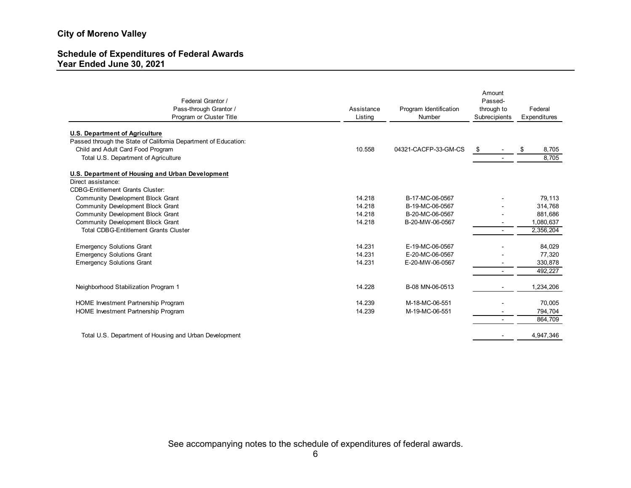#### Schedule of Expenditures of Federal Awards Year Ended June 30, 2021

| ity of Moreno Valley                                                    |                       |                                  |                                                  |                         |
|-------------------------------------------------------------------------|-----------------------|----------------------------------|--------------------------------------------------|-------------------------|
| chedule of Expenditures of Federal Awards<br>ear Ended June 30, 2021    |                       |                                  |                                                  |                         |
|                                                                         |                       |                                  |                                                  |                         |
| Federal Grantor /<br>Pass-through Grantor /<br>Program or Cluster Title | Assistance<br>Listing | Program Identification<br>Number | Amount<br>Passed-<br>through to<br>Subrecipients | Federal<br>Expenditures |
| <b>U.S. Department of Agriculture</b>                                   |                       |                                  |                                                  |                         |
| Passed through the State of California Department of Education:         |                       |                                  |                                                  |                         |
| Child and Adult Card Food Program                                       | 10.558                | 04321-CACFP-33-GM-CS             | - \$                                             | 8,705<br>\$             |
| Total U.S. Department of Agriculture                                    |                       |                                  | $\sim$                                           | 8,705                   |
| U.S. Department of Housing and Urban Development                        |                       |                                  |                                                  |                         |
| Direct assistance:                                                      |                       |                                  |                                                  |                         |
| <b>CDBG-Entitlement Grants Cluster:</b>                                 |                       |                                  |                                                  |                         |
| <b>Community Development Block Grant</b>                                | 14.218                | B-17-MC-06-0567                  |                                                  | 79,113                  |
| <b>Community Development Block Grant</b>                                | 14.218                | B-19-MC-06-0567                  | $\blacksquare$                                   | 314,768                 |
| <b>Community Development Block Grant</b>                                | 14.218                | B-20-MC-06-0567                  | $\overline{\phantom{a}}$                         | 881,686                 |
| <b>Community Development Block Grant</b>                                | 14.218                | B-20-MW-06-0567                  | $\overline{\phantom{a}}$                         | 1,080,637               |
| <b>Total CDBG-Entitlement Grants Cluster</b>                            |                       |                                  | $\sim$                                           | 2,356,204               |
| <b>Emergency Solutions Grant</b>                                        | 14.231                | E-19-MC-06-0567                  |                                                  | 84,029                  |
| <b>Emergency Solutions Grant</b>                                        | 14.231                | E-20-MC-06-0567                  | $\blacksquare$                                   | 77,320                  |
| <b>Emergency Solutions Grant</b>                                        | 14.231                | E-20-MW-06-0567                  | $\overline{\phantom{a}}$                         | 330,878                 |
|                                                                         |                       |                                  | $\blacksquare$                                   | 492,227                 |
| Neighborhood Stabilization Program 1                                    | 14.228                | B-08 MN-06-0513                  | $\sim$                                           | 1,234,206               |
| HOME Investment Partnership Program                                     | 14.239                | M-18-MC-06-551                   |                                                  | 70,005                  |
| HOME Investment Partnership Program                                     | 14.239                | M-19-MC-06-551                   |                                                  | 794,704                 |
|                                                                         |                       |                                  | $\sim$                                           | 864,709                 |
|                                                                         |                       |                                  |                                                  |                         |
| Total U.S. Department of Housing and Urban Development                  |                       |                                  |                                                  | 4,947,346               |

See accompanying notes to the schedule of expenditures of federal awards.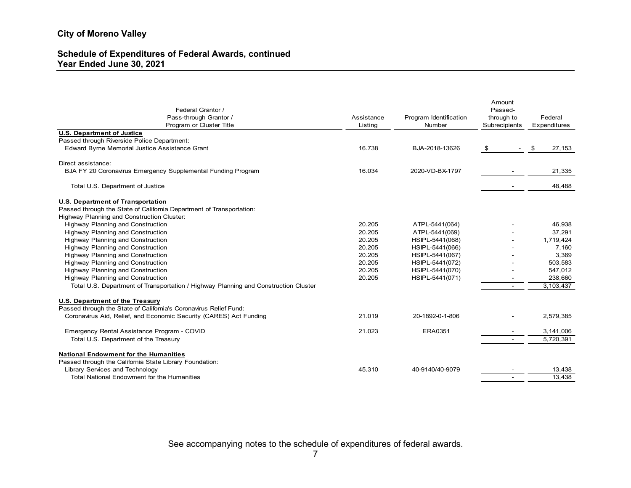### Schedule of Expenditures of Federal Awards, continued Year Ended June 30, 2021

| <b>Schedule of Expenditures of Federal Awards, continued</b><br>Year Ended June 30, 2021                         |                       | <b>City of Moreno Valley</b>     |                                                  |                         |  |  |  |  |
|------------------------------------------------------------------------------------------------------------------|-----------------------|----------------------------------|--------------------------------------------------|-------------------------|--|--|--|--|
|                                                                                                                  |                       |                                  |                                                  |                         |  |  |  |  |
| Federal Grantor /<br>Pass-through Grantor /<br>Program or Cluster Title                                          | Assistance<br>Listing | Program Identification<br>Number | Amount<br>Passed-<br>through to<br>Subrecipients | Federal<br>Expenditures |  |  |  |  |
| <b>U.S. Department of Justice</b>                                                                                |                       |                                  |                                                  |                         |  |  |  |  |
| Passed through Riverside Police Department:                                                                      |                       |                                  |                                                  |                         |  |  |  |  |
| Edward Byrne Memorial Justice Assistance Grant                                                                   | 16.738                | BJA-2018-13626                   | \$<br>$\sim$                                     | \$<br>27,153            |  |  |  |  |
| Direct assistance:                                                                                               |                       |                                  |                                                  |                         |  |  |  |  |
| BJA FY 20 Coronavirus Emergency Supplemental Funding Program                                                     | 16.034                | 2020-VD-BX-1797                  |                                                  | 21,335                  |  |  |  |  |
|                                                                                                                  |                       |                                  |                                                  |                         |  |  |  |  |
| Total U.S. Department of Justice                                                                                 |                       |                                  |                                                  | 48,488                  |  |  |  |  |
|                                                                                                                  |                       |                                  |                                                  |                         |  |  |  |  |
| <b>U.S. Department of Transportation</b><br>Passed through the State of California Department of Transportation: |                       |                                  |                                                  |                         |  |  |  |  |
| Highway Planning and Construction Cluster:                                                                       |                       |                                  |                                                  |                         |  |  |  |  |
| <b>Highway Planning and Construction</b>                                                                         | 20.205                | ATPL-5441(064)                   |                                                  | 46,938                  |  |  |  |  |
| <b>Highway Planning and Construction</b>                                                                         | 20.205                | ATPL-5441(069)                   |                                                  | 37,291                  |  |  |  |  |
| <b>Highway Planning and Construction</b>                                                                         | 20.205                | HSIPL-5441(068)                  |                                                  | 1,719,424               |  |  |  |  |
| <b>Highway Planning and Construction</b>                                                                         | 20.205                | HSIPL-5441(066)                  | $\sim$                                           | 7,160                   |  |  |  |  |
| <b>Highway Planning and Construction</b>                                                                         | 20.205                | HSIPL-5441(067)                  |                                                  | 3,369                   |  |  |  |  |
| <b>Highway Planning and Construction</b>                                                                         | 20.205                | HSIPL-5441(072)                  | $\overline{\phantom{a}}$                         | 503,583                 |  |  |  |  |
| <b>Highway Planning and Construction</b>                                                                         | 20.205                | HSIPL-5441(070)                  | $\sim$                                           | 547,012                 |  |  |  |  |
| <b>Highway Planning and Construction</b>                                                                         | 20.205                | HSIPL-5441(071)                  | $\overline{\phantom{0}}$                         | 238,660                 |  |  |  |  |
| Total U.S. Department of Transportation / Highway Planning and Construction Cluster                              |                       |                                  | $\sim$                                           | 3,103,437               |  |  |  |  |
|                                                                                                                  |                       |                                  |                                                  |                         |  |  |  |  |
| <b>U.S. Department of the Treasury</b>                                                                           |                       |                                  |                                                  |                         |  |  |  |  |
| Passed through the State of California's Coronavirus Relief Fund:                                                |                       |                                  |                                                  |                         |  |  |  |  |
| Coronavirus Aid, Relief, and Economic Security (CARES) Act Funding                                               | 21.019                | 20-1892-0-1-806                  |                                                  | 2,579,385               |  |  |  |  |
| Emergency Rental Assistance Program - COVID                                                                      | 21.023                | ERA0351                          |                                                  | 3,141,006               |  |  |  |  |
| Total U.S. Department of the Treasury                                                                            |                       |                                  |                                                  | 5,720,391               |  |  |  |  |
|                                                                                                                  |                       |                                  |                                                  |                         |  |  |  |  |
| <b>National Endowment for the Humanities</b>                                                                     |                       |                                  |                                                  |                         |  |  |  |  |
| Passed through the California State Library Foundation:                                                          |                       |                                  |                                                  |                         |  |  |  |  |
| Library Services and Technology                                                                                  | 45.310                | 40-9140/40-9079                  |                                                  | 13,438                  |  |  |  |  |
| Total National Endowment for the Humanities                                                                      |                       |                                  |                                                  | 13,438                  |  |  |  |  |

See accompanying notes to the schedule of expenditures of federal awards.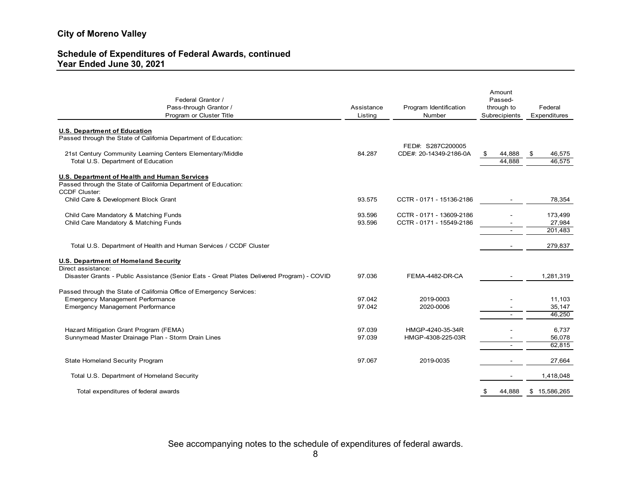### Schedule of Expenditures of Federal Awards, continued Year Ended June 30, 2021

| <b>City of Moreno Valley</b>                                                                                                            |                       |                                                      |                             |                              |
|-----------------------------------------------------------------------------------------------------------------------------------------|-----------------------|------------------------------------------------------|-----------------------------|------------------------------|
| <b>Schedule of Expenditures of Federal Awards, continued</b><br>Year Ended June 30, 2021                                                |                       |                                                      |                             |                              |
| Federal Grantor /                                                                                                                       |                       |                                                      | Amount<br>Passed-           |                              |
| Pass-through Grantor /<br>Program or Cluster Title                                                                                      | Assistance<br>Listing | Program Identification<br>Number                     | through to<br>Subrecipients | Federal<br>Expenditures      |
| <b>U.S. Department of Education</b><br>Passed through the State of California Department of Education:                                  |                       | FED#: S287C200005                                    |                             |                              |
| 21st Century Community Learning Centers Elementary/Middle                                                                               | 84.287                | CDE#: 20-14349-2186-0A                               | 44,888<br>\$                | 46,575<br>-\$                |
| Total U.S. Department of Education                                                                                                      |                       |                                                      | 44,888                      | 46,575                       |
| U.S. Department of Health and Human Services<br>Passed through the State of California Department of Education:<br><b>CCDF Cluster:</b> |                       |                                                      |                             |                              |
| Child Care & Development Block Grant                                                                                                    | 93.575                | CCTR - 0171 - 15136-2186                             |                             | 78,354                       |
| Child Care Mandatory & Matching Funds<br>Child Care Mandatory & Matching Funds                                                          | 93.596<br>93.596      | CCTR - 0171 - 13609-2186<br>CCTR - 0171 - 15549-2186 |                             | 173,499<br>27,984<br>201,483 |
| Total U.S. Department of Health and Human Services / CCDF Cluster                                                                       |                       |                                                      |                             | 279,837                      |
| <b>U.S. Department of Homeland Security</b><br>Direct assistance:                                                                       |                       |                                                      |                             |                              |
| Disaster Grants - Public Assistance (Senior Eats - Great Plates Delivered Program) - COVID                                              | 97.036                | FEMA-4482-DR-CA                                      |                             | 1,281,319                    |
| Passed through the State of California Office of Emergency Services:                                                                    |                       |                                                      |                             |                              |
| Emergency Management Performance                                                                                                        | 97.042                | 2019-0003                                            |                             | 11,103                       |
| <b>Emergency Management Performance</b>                                                                                                 | 97.042                | 2020-0006                                            | $\sim$                      | 35,147<br>46,250             |
|                                                                                                                                         |                       |                                                      |                             |                              |
| Hazard Mitigation Grant Program (FEMA)<br>Sunnymead Master Drainage Plan - Storm Drain Lines                                            | 97.039<br>97.039      | HMGP-4240-35-34R<br>HMGP-4308-225-03R                |                             | 6,737<br>56,078              |
|                                                                                                                                         |                       |                                                      |                             | 62,815                       |
| State Homeland Security Program                                                                                                         | 97.067                | 2019-0035                                            |                             | 27,664                       |
| Total U.S. Department of Homeland Security                                                                                              |                       |                                                      |                             | 1,418,048                    |
| Total expenditures of federal awards                                                                                                    |                       |                                                      |                             | 44,888 \$ 15,586,265         |

See accompanying notes to the schedule of expenditures of federal awards.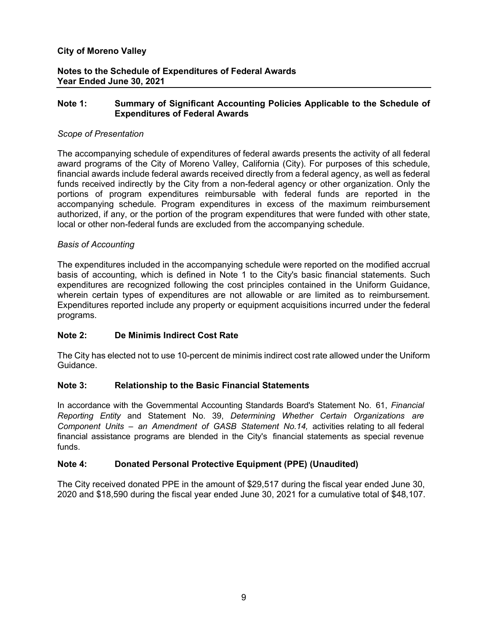# Notes to the Schedule of Expenditures of Federal Awards Year Ended June 30, 2021

## Note 1: Summary of Significant Accounting Policies Applicable to the Schedule of Expenditures of Federal Awards

## Scope of Presentation

The accompanying schedule of expenditures of federal awards presents the activity of all federal award programs of the City of Moreno Valley, California (City). For purposes of this schedule, financial awards include federal awards received directly from a federal agency, as well as federal funds received indirectly by the City from a non-federal agency or other organization. Only the portions of program expenditures reimbursable with federal funds are reported in the accompanying schedule. Program expenditures in excess of the maximum reimbursement authorized, if any, or the portion of the program expenditures that were funded with other state, local or other non-federal funds are excluded from the accompanying schedule.

## Basis of Accounting

The expenditures included in the accompanying schedule were reported on the modified accrual basis of accounting, which is defined in Note 1 to the City's basic financial statements. Such expenditures are recognized following the cost principles contained in the Uniform Guidance, wherein certain types of expenditures are not allowable or are limited as to reimbursement. Expenditures reported include any property or equipment acquisitions incurred under the federal programs.

# Note 2: De Minimis Indirect Cost Rate

The City has elected not to use 10-percent de minimis indirect cost rate allowed under the Uniform Guidance.

# Note 3: Relationship to the Basic Financial Statements

In accordance with the Governmental Accounting Standards Board's Statement No. 61, Financial Reporting Entity and Statement No. 39, Determining Whether Certain Organizations are Component Units – an Amendment of GASB Statement No.14, activities relating to all federal financial assistance programs are blended in the City's financial statements as special revenue funds.

# Note 4: Donated Personal Protective Equipment (PPE) (Unaudited)

The City received donated PPE in the amount of \$29,517 during the fiscal year ended June 30, 2020 and \$18,590 during the fiscal year ended June 30, 2021 for a cumulative total of \$48,107.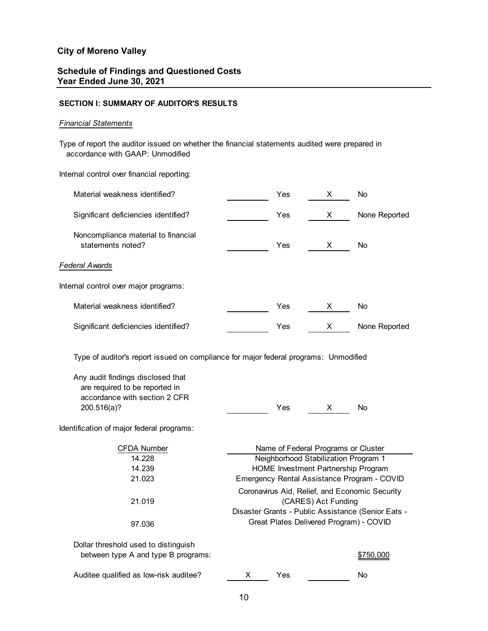# Schedule of Findings and Questioned Costs Year Ended June 30, 2021

## SECTION I: SUMMARY OF AUDITOR'S RESULTS

### Financial Statements

| <b>City of Moreno Valley</b>                                                                                                                                                                                                                             |     |                                                                                                                                                                                                                                                                                                                                             |               |  |
|----------------------------------------------------------------------------------------------------------------------------------------------------------------------------------------------------------------------------------------------------------|-----|---------------------------------------------------------------------------------------------------------------------------------------------------------------------------------------------------------------------------------------------------------------------------------------------------------------------------------------------|---------------|--|
| <b>Schedule of Findings and Questioned Costs</b><br>Year Ended June 30, 2021                                                                                                                                                                             |     |                                                                                                                                                                                                                                                                                                                                             |               |  |
| <b>SECTION I: SUMMARY OF AUDITOR'S RESULTS</b>                                                                                                                                                                                                           |     |                                                                                                                                                                                                                                                                                                                                             |               |  |
| <b>Financial Statements</b>                                                                                                                                                                                                                              |     |                                                                                                                                                                                                                                                                                                                                             |               |  |
| Type of report the auditor issued on whether the financial statements audited were prepared in<br>accordance with GAAP: Unmodified                                                                                                                       |     |                                                                                                                                                                                                                                                                                                                                             |               |  |
| Internal control over financial reporting:                                                                                                                                                                                                               |     |                                                                                                                                                                                                                                                                                                                                             |               |  |
| Material weakness identified?                                                                                                                                                                                                                            | Yes | X.                                                                                                                                                                                                                                                                                                                                          | No            |  |
| Significant deficiencies identified?                                                                                                                                                                                                                     | Yes | X                                                                                                                                                                                                                                                                                                                                           | None Reported |  |
| Noncompliance material to financial<br>statements noted?                                                                                                                                                                                                 | Yes | X                                                                                                                                                                                                                                                                                                                                           | No            |  |
| Federal Awards                                                                                                                                                                                                                                           |     |                                                                                                                                                                                                                                                                                                                                             |               |  |
| Internal control over major programs:                                                                                                                                                                                                                    |     |                                                                                                                                                                                                                                                                                                                                             |               |  |
| Material weakness identified?                                                                                                                                                                                                                            | Yes | X                                                                                                                                                                                                                                                                                                                                           | No            |  |
| Significant deficiencies identified?                                                                                                                                                                                                                     | Yes | X                                                                                                                                                                                                                                                                                                                                           | None Reported |  |
| Type of auditor's report issued on compliance for major federal programs: Unmodified<br>Any audit findings disclosed that<br>are required to be reported in<br>accordance with section 2 CFR<br>200.516(a)?<br>Identification of major federal programs: | Yes | X                                                                                                                                                                                                                                                                                                                                           | No            |  |
| <b>CFDA Number</b><br>14.228<br>14.239<br>21.023<br>21.019                                                                                                                                                                                               |     | Name of Federal Programs or Cluster<br>Neighborhood Stabilization Program 1<br>HOME Investment Partnership Program<br>Emergency Rental Assistance Program - COVID<br>Coronavirus Aid, Relief, and Economic Security<br>(CARES) Act Funding<br>Disaster Grants - Public Assistance (Senior Eats -<br>Great Plates Delivered Program) - COVID |               |  |
| 97.036                                                                                                                                                                                                                                                   |     |                                                                                                                                                                                                                                                                                                                                             |               |  |
| Dollar threshold used to distinguish<br>between type A and type B programs:                                                                                                                                                                              |     |                                                                                                                                                                                                                                                                                                                                             | \$750,000     |  |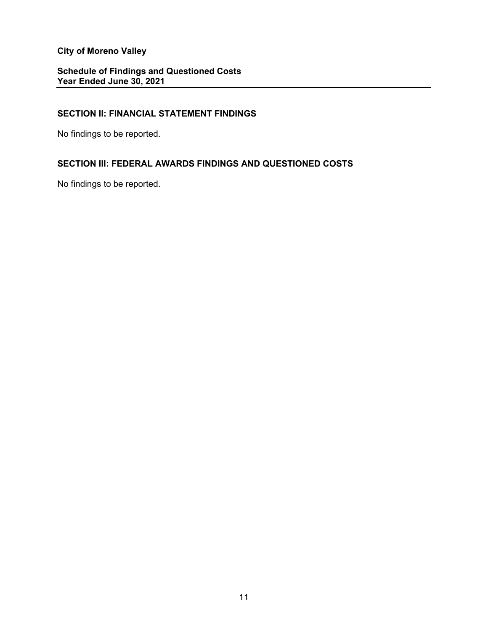Schedule of Findings and Questioned Costs Year Ended June 30, 2021

# SECTION II: FINANCIAL STATEMENT FINDINGS

No findings to be reported.

# SECTION III: FEDERAL AWARDS FINDINGS AND QUESTIONED COSTS

No findings to be reported.